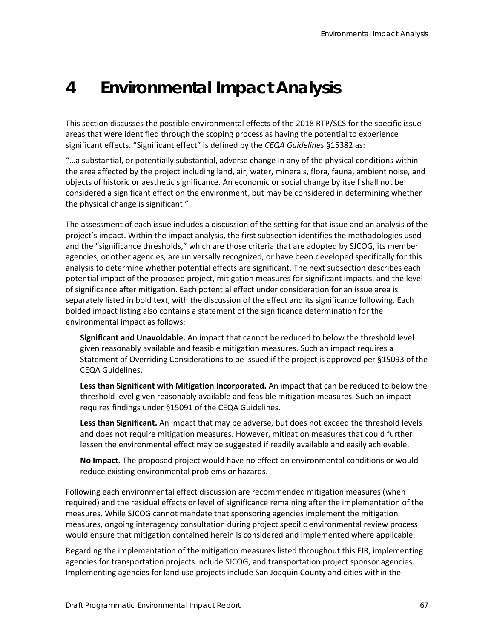## **4 Environmental Impact Analysis**

This section discusses the possible environmental effects of the 2018 RTP/SCS for the specific issue areas that were identified through the scoping process as having the potential to experience significant effects. "Significant effect" is defined by the *CEQA Guidelines* §15382 as:

"…a substantial, or potentially substantial, adverse change in any of the physical conditions within the area affected by the project including land, air, water, minerals, flora, fauna, ambient noise, and objects of historic or aesthetic significance. An economic or social change by itself shall not be considered a significant effect on the environment, but may be considered in determining whether the physical change is significant."

The assessment of each issue includes a discussion of the setting for that issue and an analysis of the project's impact. Within the impact analysis, the first subsection identifies the methodologies used and the "significance thresholds," which are those criteria that are adopted by SJCOG, its member agencies, or other agencies, are universally recognized, or have been developed specifically for this analysis to determine whether potential effects are significant. The next subsection describes each potential impact of the proposed project, mitigation measures for significant impacts, and the level of significance after mitigation. Each potential effect under consideration for an issue area is separately listed in bold text, with the discussion of the effect and its significance following. Each bolded impact listing also contains a statement of the significance determination for the environmental impact as follows:

**Significant and Unavoidable.** An impact that cannot be reduced to below the threshold level given reasonably available and feasible mitigation measures. Such an impact requires a Statement of Overriding Considerations to be issued if the project is approved per §15093 of the CEQA Guidelines.

**Less than Significant with Mitigation Incorporated.** An impact that can be reduced to below the threshold level given reasonably available and feasible mitigation measures. Such an impact requires findings under §15091 of the CEQA Guidelines.

**Less than Significant.** An impact that may be adverse, but does not exceed the threshold levels and does not require mitigation measures. However, mitigation measures that could further lessen the environmental effect may be suggested if readily available and easily achievable.

**No Impact.** The proposed project would have no effect on environmental conditions or would reduce existing environmental problems or hazards.

Following each environmental effect discussion are recommended mitigation measures (when required) and the residual effects or level of significance remaining after the implementation of the measures. While SJCOG cannot mandate that sponsoring agencies implement the mitigation measures, ongoing interagency consultation during project specific environmental review process would ensure that mitigation contained herein is considered and implemented where applicable.

Regarding the implementation of the mitigation measures listed throughout this EIR, implementing agencies for transportation projects include SJCOG, and transportation project sponsor agencies. Implementing agencies for land use projects include San Joaquin County and cities within the